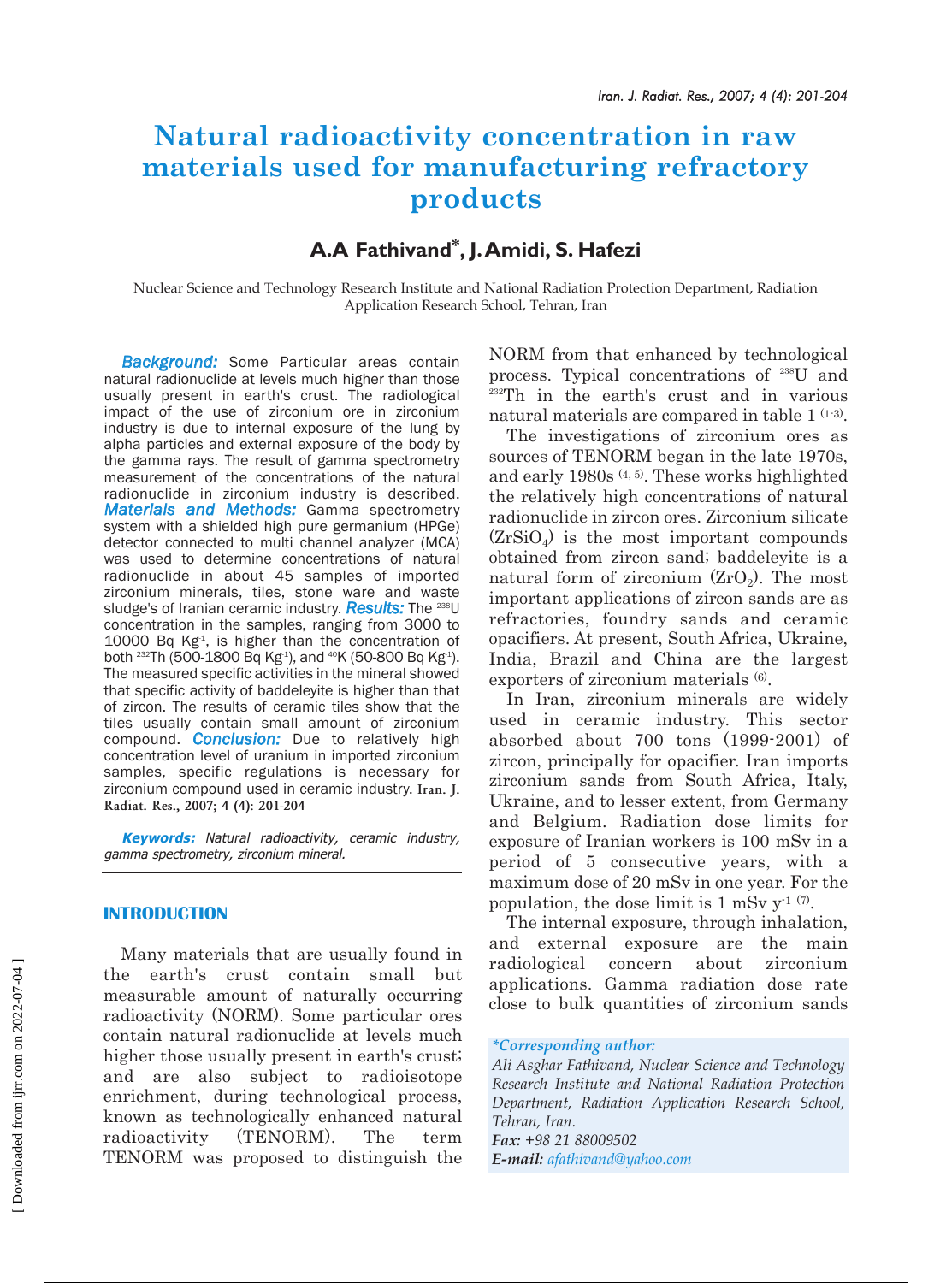# **Natural radioactivity concentration in raw materials used for manufacturing refractory products**

## **A.A Fathivand\*, J.Amidi, S. Hafezi**

Nuclear Science and Technology Research Institute and National Radiation Protection Department, Radiation Application Research School, Tehran, Iran

*Background:* Some Particular areas contain natural radionuclide at levels much higher than those usually present in earth's crust. The radiological impact of the use of zirconium ore in zirconium industry is due to internal exposure of the lung by alpha particles and external exposure of the body by the gamma rays. The result of gamma spectrometry measurement of the concentrations of the natural radionuclide in zirconium industry is described. *Materials and Methods:* Gamma spectrometry system with a shielded high pure germanium (HPGe) detector connected to multi channel analyzer (MCA) was used to determine concentrations of natural radionuclide in about 45 samples of imported zirconium minerals, tiles, stone ware and waste sludge's of Iranian ceramic industry. *Results:* The 238U concentration in the samples, ranging from 3000 to 10000 Bq  $Kg<sup>4</sup>$ , is higher than the concentration of both <sup>232</sup>Th (500-1800 Bq Kg<sup>1</sup>), and <sup>40</sup>K (50-800 Bq Kg<sup>1</sup>). The measured specific activities in the mineral showed that specific activity of baddeleyite is higher than that of zircon. The results of ceramic tiles show that the tiles usually contain small amount of zirconium compound. *Conclusion:* Due to relatively high concentration level of uranium in imported zirconium samples, specific regulations is necessary for zirconium compound used in ceramic industry. **Iran. J. Radiat. Res., 2007; 4 (4): 201-204**

**Keywords:** Natural radioactivity, ceramic industry, gamma spectrometry, zirconium mineral.

#### **INTRODUCTION**

Many materials that are usually found in the earth's crust contain small but measurable amount of naturally occurring radioactivity (NORM). Some particular ores contain natural radionuclide at levels much higher those usually present in earth's crust; and are also subject to radioisotope enrichment, during technological process, known as technologically enhanced natural radioactivity (TENORM). The term TENORM was proposed to distinguish the

NORM from that enhanced by technological process. Typical concentrations of 238U and <sup>232</sup>Th in the earth's crust and in various natural materials are compared in table 1 (1-3).

The investigations of zirconium ores as sources of TENORM began in the late 1970s, and early 1980s (4, 5). These works highlighted the relatively high concentrations of natural radionuclide in zircon ores. Zirconium silicate  $(ZrSiO<sub>4</sub>)$  is the most important compounds obtained from zircon sand; baddeleyite is a natural form of zirconium  $(ZrO<sub>2</sub>)$ . The most important applications of zircon sands are as refractories, foundry sands and ceramic opacifiers. At present, South Africa, Ukraine, India, Brazil and China are the largest exporters of zirconium materials (6).

In Iran, zirconium minerals are widely used in ceramic industry. This sector absorbed about 700 tons (1999-2001) of zircon, principally for opacifier. Iran imports zirconium sands from South Africa, Italy, Ukraine, and to lesser extent, from Germany and Belgium. Radiation dose limits for exposure of Iranian workers is 100 mSv in a period of 5 consecutive years, with a maximum dose of 20 mSv in one year. For the population, the dose limit is 1 mSv  $y^{-1}$  (7).

The internal exposure, through inhalation, and external exposure are the main radiological concern about zirconium applications. Gamma radiation dose rate close to bulk quantities of zirconium sands

*Fax: +98 21 88009502 E-mail: afathivand@yahoo.com*

*<sup>\*</sup>Corresponding author:*

*Ali Asghar Fathivand, Nuclear Science and Technology Research Institute and National Radiation Protection Department, Radiation Application Research School, Tehran, Iran.*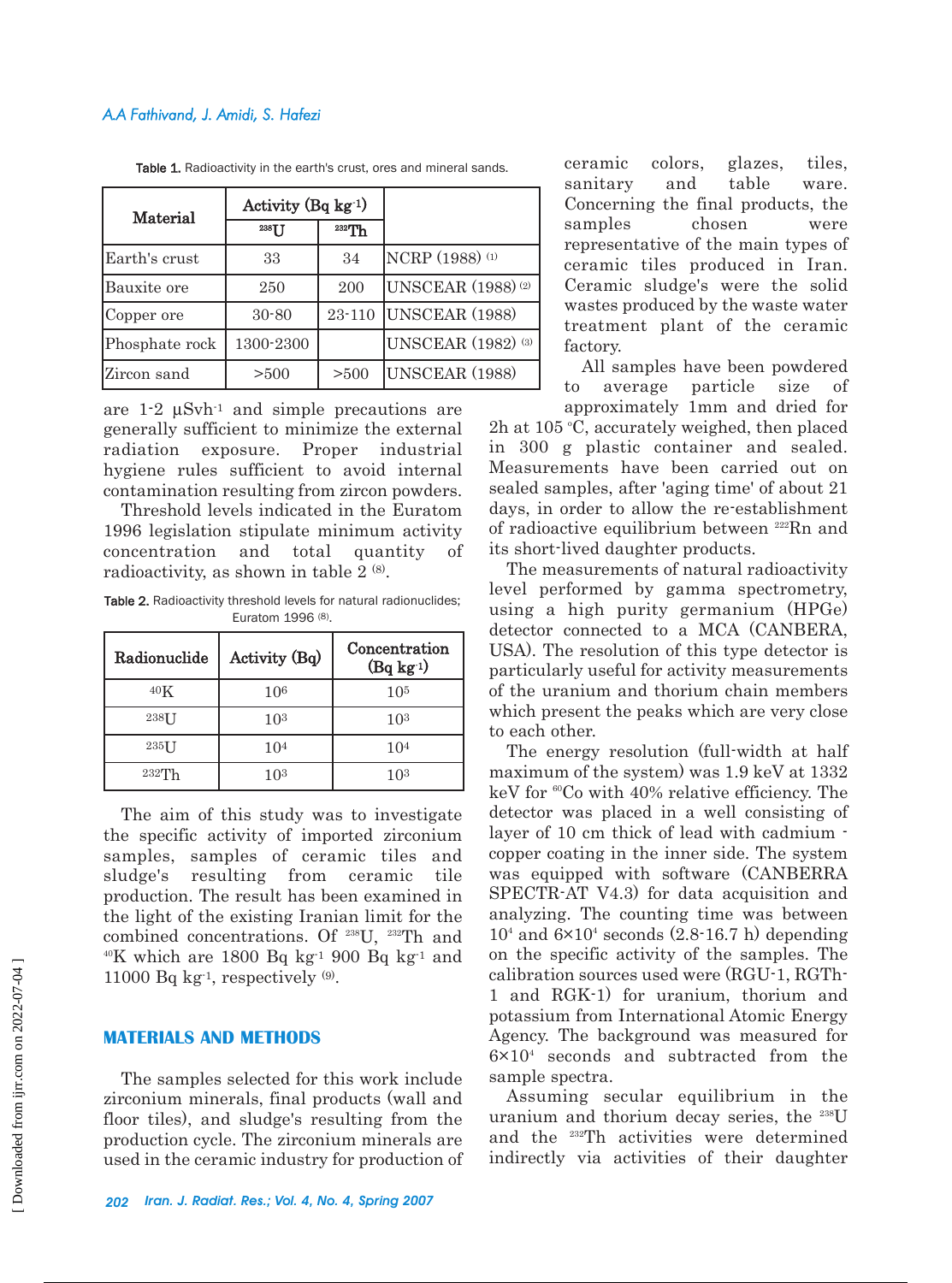| Material       | Activity (Bq $kg^{-1}$ ) |          |                                      |
|----------------|--------------------------|----------|--------------------------------------|
|                | 238TT                    | $232$ Th |                                      |
| Earth's crust  | 33                       | 34       | NCRP (1988) (1)                      |
| Bauxite ore    | 250                      | 200      | <b>UNSCEAR</b> (1988) <sup>(2)</sup> |
| Copper ore     | $30 - 80$                | 23-110   | UNSCEAR (1988)                       |
| Phosphate rock | 1300-2300                |          | <b>UNSCEAR</b> (1982) (3)            |
| Zircon sand    | > 500                    | >500     | UNSCEAR (1988)                       |

Table 1. Radioactivity in the earth's crust, ores and mineral sands.

are  $1-2 \mu S$ vh<sup>-1</sup> and simple precautions are generally sufficient to minimize the external radiation exposure. Proper industrial hygiene rules sufficient to avoid internal contamination resulting from zircon powders.

Threshold levels indicated in the Euratom 1996 legislation stipulate minimum activity concentration and total quantity of radioactivity, as shown in table  $2^{(8)}$ .

Table 2. Radioactivity threshold levels for natural radionuclides; Euratom 1996 (8).

| Radionuclide | Activity (Bq)   | Concentration<br>$(Bq kg-1)$ |  |
|--------------|-----------------|------------------------------|--|
| $40\text{K}$ | 106             | 10 <sup>5</sup>              |  |
| $238$ U      | 10 <sup>3</sup> | 10 <sup>3</sup>              |  |
| $235$ []     | 10 <sup>4</sup> | 10 <sup>4</sup>              |  |
| $232$ Th     | 103             | 1 N 3                        |  |

The aim of this study was to investigate the specific activity of imported zirconium samples, samples of ceramic tiles and sludge's resulting from ceramic tile production. The result has been examined in the light of the existing Iranian limit for the combined concentrations. Of 238U, 232Th and  $40$ K which are 1800 Bq kg<sup>-1</sup> 900 Bq kg<sup>-1</sup> and 11000 Bq kg<sup>-1</sup>, respectively  $(9)$ .

### **MATERIALS AND METHODS**

The samples selected for this work include zirconium minerals, final products (wall and floor tiles), and sludge's resulting from the production cycle. The zirconium minerals are used in the ceramic industry for production of

*202 Iran. J. Radiat. Res.; Vol. 4, No. 4, Spring 2007*

ceramic colors, glazes, tiles, sanitary and table ware. Concerning the final products, the samples chosen were representative of the main types of ceramic tiles produced in Iran. Ceramic sludge's were the solid wastes produced by the waste water treatment plant of the ceramic factory.

All samples have been powdered to average particle size of

approximately 1mm and dried for 2h at 105  $\degree$ C, accurately weighed, then placed in 300 g plastic container and sealed. Measurements have been carried out on sealed samples, after 'aging time' of about 21 days, in order to allow the re-establishment of radioactive equilibrium between <sup>222</sup>Rn and its short-lived daughter products.

The measurements of natural radioactivity level performed by gamma spectrometry, using a high purity germanium (HPGe) detector connected to a MCA (CANBERA, USA). The resolution of this type detector is particularly useful for activity measurements of the uranium and thorium chain members which present the peaks which are very close to each other.

The energy resolution (full-width at half maximum of the system) was 1.9 keV at 1332 keV for  ${}^{60}Co$  with 40% relative efficiency. The detector was placed in a well consisting of layer of 10 cm thick of lead with cadmium copper coating in the inner side. The system was equipped with software (CANBERRA SPECTR-AT V4.3) for data acquisition and analyzing. The counting time was between  $10<sup>4</sup>$  and  $6\times10<sup>4</sup>$  seconds  $(2.8-16.7 \text{ h})$  depending on the specific activity of the samples. The calibration sources used were (RGU-1, RGTh-1 and RGK-1) for uranium, thorium and potassium from International Atomic Energy Agency. The background was measured for  $6\times10<sup>4</sup>$  seconds and subtracted from the sample spectra.

Assuming secular equilibrium in the uranium and thorium decay series, the <sup>238</sup>U and the 232Th activities were determined indirectly via activities of their daughter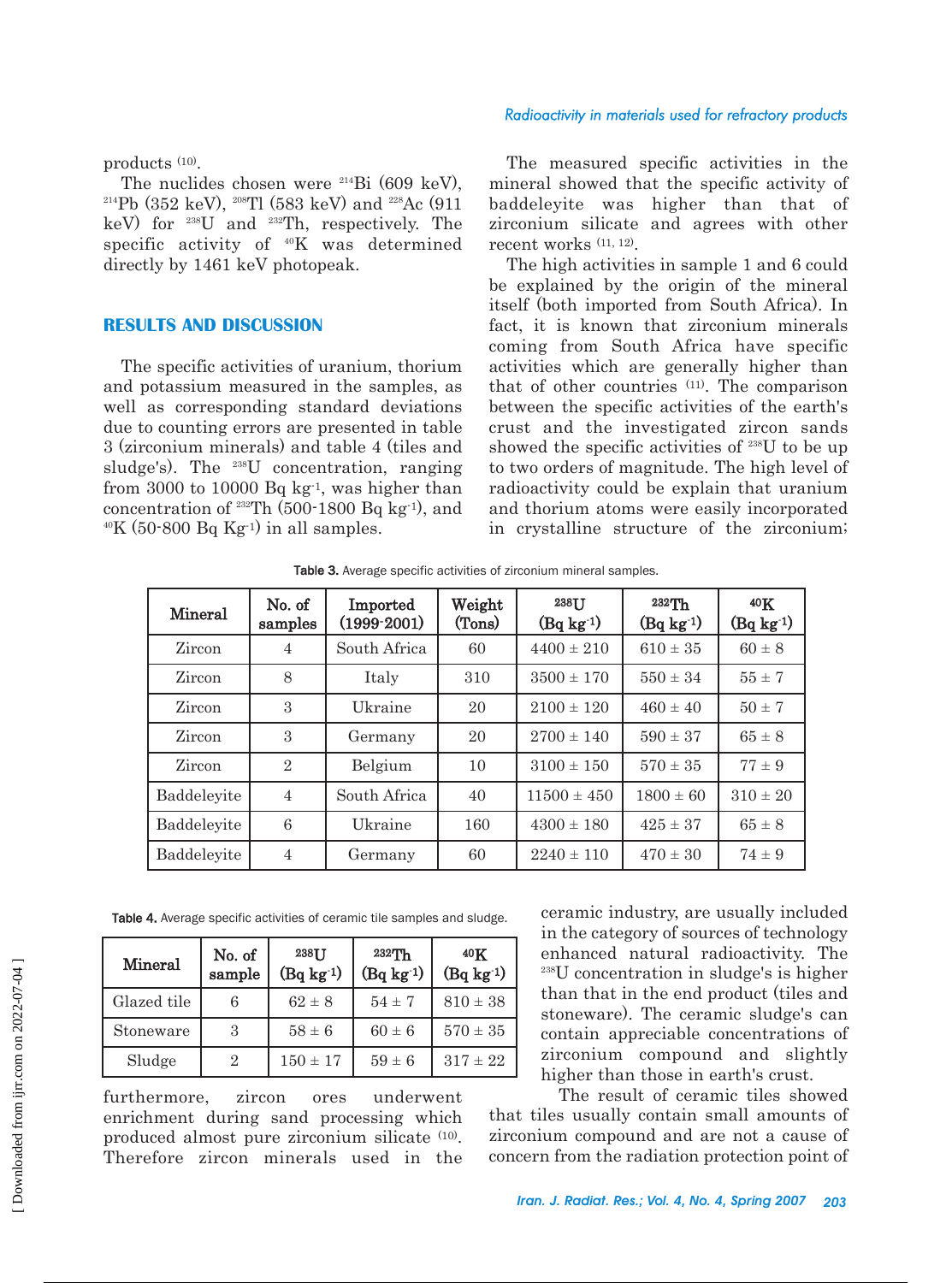#### *Radioactivity in materials used for refractory products*

products (10).

The nuclides chosen were  $^{214}Bi(609 \text{ keV})$ . 214Pb (352 keV), 208Tl (583 keV) and 228Ac (911 keV) for 238U and 232Th, respectively. The specific activity of 40K was determined directly by 1461 keV photopeak.

#### **RESULTS AND DISCUSSION**

The specific activities of uranium, thorium and potassium measured in the samples, as well as corresponding standard deviations due to counting errors are presented in table 3 (zirconium minerals) and table 4 (tiles and sludge's). The 238U concentration, ranging from 3000 to 10000 Bq  $kg<sup>-1</sup>$ , was higher than concentration of  $^{232}$ Th (500-1800 Bq kg<sup>-1</sup>), and  $40K$  (50-800 Bq Kg<sup>-1</sup>) in all samples.

The measured specific activities in the mineral showed that the specific activity of baddeleyite was higher than that of zirconium silicate and agrees with other recent works (11, 12).

The high activities in sample 1 and 6 could be explained by the origin of the mineral itself (both imported from South Africa). In fact, it is known that zirconium minerals coming from South Africa have specific activities which are generally higher than that of other countries (11). The comparison between the specific activities of the earth's crust and the investigated zircon sands showed the specific activities of 238U to be up to two orders of magnitude. The high level of radioactivity could be explain that uranium and thorium atoms were easily incorporated in crystalline structure of the zirconium;

| Mineral     | No. of<br>samples | Imported<br>$(1999-2001)$ | Weight<br>(Tons) | 238TT<br>$(Bq \log 1)$ | $232$ Th<br>$(Bq kg-1)$ | 40K<br>$(Bq kg-1)$ |
|-------------|-------------------|---------------------------|------------------|------------------------|-------------------------|--------------------|
| Zircon      | 4                 | South Africa              | 60               | $4400 \pm 210$         | $610 \pm 35$            | $60 \pm 8$         |
| Zircon      | 8                 | Italy                     | 310              | $3500 \pm 170$         | $550 \pm 34$            | $55 \pm 7$         |
| Zircon      | 3                 | Ukraine                   | 20               | $2100 \pm 120$         | $460 \pm 40$            | $50 \pm 7$         |
| Zircon      | 3                 | Germany                   | 20               | $2700 \pm 140$         | $590 \pm 37$            | $65 \pm 8$         |
| Zircon      | $\overline{2}$    | Belgium                   | 10               | $3100 \pm 150$         | $570 \pm 35$            | $77 \pm 9$         |
| Baddeleyite | 4                 | South Africa              | 40               | $11500 \pm 450$        | $1800 \pm 60$           | $310 \pm 20$       |
| Baddeleyite | 6                 | Ukraine                   | 160              | $4300 \pm 180$         | $425 \pm 37$            | $65 \pm 8$         |
| Baddeleyite | $\overline{4}$    | Germany                   | 60               | $2240 \pm 110$         | $470 \pm 30$            | $74 \pm 9$         |

Table 3. Average specific activities of zirconium mineral samples.

Table 4. Average specific activities of ceramic tile samples and sludge.

| Mineral     | No. of<br>sample | 238TJ<br>$(Bq kg-1)$ | $232$ Th<br>$(Bq \log 1)$ | $40\mathrm{K}$<br>$(Bq \log 1)$ |
|-------------|------------------|----------------------|---------------------------|---------------------------------|
| Glazed tile | 6                | $62 \pm 8$           | $54 \pm 7$                | $810 \pm 38$                    |
| Stoneware   | 3                | $58 \pm 6$           | $60 \pm 6$                | $570 \pm 35$                    |
| Sludge      | 2                | $150 \pm 17$         | $59 \pm 6$                | $317 \pm 22$                    |

furthermore, zircon ores underwent enrichment during sand processing which produced almost pure zirconium silicate (10). Therefore zircon minerals used in the

ceramic industry, are usually included in the category of sources of technology enhanced natural radioactivity. The 238U concentration in sludge's is higher than that in the end product (tiles and stoneware). The ceramic sludge's can contain appreciable concentrations of zirconium compound and slightly higher than those in earth's crust.

The result of ceramic tiles showed that tiles usually contain small amounts of zirconium compound and are not a cause of concern from the radiation protection point of